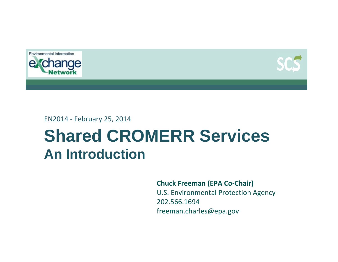



EN2014 ‐ February 25, 2014

# **Shared CROMERR Services An Introduction**

**Chuck Freeman (EPA Co‐Chair)**

U.S. Environmental Protection Agency 202.566.1694freeman.charles@epa.gov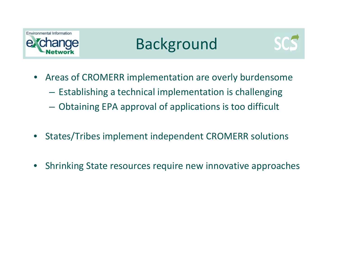





- Areas of CROMERR implementation are overly burdensome
	- Establishing <sup>a</sup> technical implementation is challenging
	- Obtaining EPA approval of applications is too difficult
- States/Tribes implement independent CROMERR solutions
- Shrinking State resources require new innovative approaches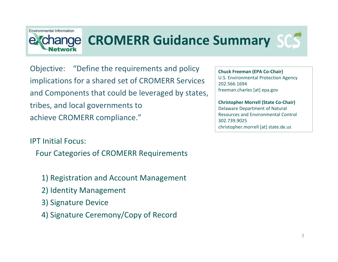### Environmental Information ange

## **CROMERR Guidance Summary**

Objective: "Define the requirements and policy implications for <sup>a</sup> shared set of CROMERR Services and Components that could be leveraged by states, tribes, and local governments to achieve CROMERR compliance."

IPT Initial Focus:

Four Categories of CROMERR Requirements

- 1) Registration and Account Management
- 2) Identity Management
- 3) Signature Device
- 4) Signature Ceremony/Copy of Record

**Chuck Freeman (EPA Co‐Chair)** U.S. Environmental Protection Agency 202.566.1694freeman.charles [at] epa.gov

**Christopher Morrell (State Co‐Chair)** Delaware Department of Natural Resources and Environmental Control 302.739.9025christopher.morrell [at] state.de.us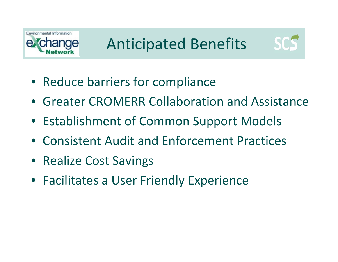



- Reduce barriers for compliance
- Greater CROMERR Collaboration and Assistance
- Establishment of Common Support Models
- Consistent Audit and Enforcement Practices
- Realize Cost Savings
- Facilitates a User Friendly Experience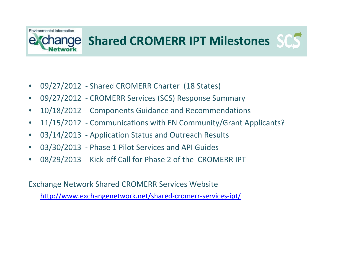# Environmental Information

## **Shared CROMERR IPT Milestones**

- 09/27/2012 Shared CROMERR Charter (18 States)
- 09/27/2012 CROMERR Services (SCS) Response Summary
- 10/18/2012 Components Guidance and Recommendations
- 11/15/2012 Communications with EN Community/Grant Applicants?
- 03/14/2013 Application Status and Outreach Results
- 03/30/2013 Phase 1 Pilot Services and API Guides
- 08/29/2013 Kick-off Call for Phase 2 of the CROMERR IPT

Exchange Network Shared CROMERR Services Website

[http://www.exchangenetwork.net/shared](http://www.exchangenetwork.net/shared-cromerr-services-ipt/)-cromerr-services-ipt/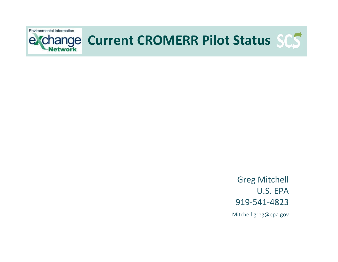

Greg Mitchell U.S. EPA919‐541‐4823Mitchell.greg@epa.gov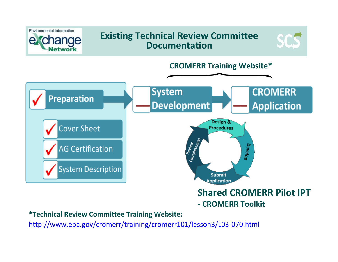

**\*Technical Review Committee Training Website:**

[http://www.epa.gov/cromerr/training/cromerr101/lesson3/L03](http://www.epa.gov/cromerr/training/cromerr101/lesson3/L03-070.html)‐070.html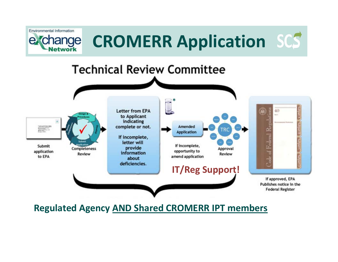

**Regulated Agency AND Shared CROMERR IPT members**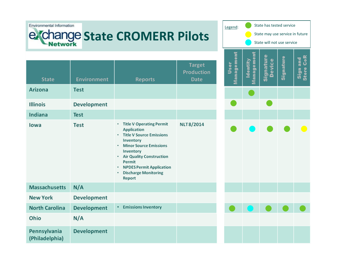#### Environmental Information

## **State CROMERR Pilots**

| Legend:                                                       | State has tested service |      |  |                      |  |  |
|---------------------------------------------------------------|--------------------------|------|--|----------------------|--|--|
| State may use service in future<br>State will not use service |                          |      |  |                      |  |  |
|                                                               |                          | vice |  | tore CoR<br>Sign and |  |  |
|                                                               |                          |      |  |                      |  |  |
|                                                               |                          |      |  |                      |  |  |
|                                                               |                          |      |  |                      |  |  |
|                                                               |                          |      |  |                      |  |  |
|                                                               |                          |      |  |                      |  |  |
|                                                               |                          |      |  |                      |  |  |
|                                                               |                          |      |  |                      |  |  |
|                                                               |                          |      |  |                      |  |  |
|                                                               |                          |      |  |                      |  |  |
|                                                               |                          |      |  |                      |  |  |
|                                                               |                          |      |  |                      |  |  |

| <b>State</b>                   | <b>Environment</b> | <b>Reports</b>                                                                                                                                                                                                                                                                                             | <b>Target</b><br><b>Production</b><br><b>Date</b> |
|--------------------------------|--------------------|------------------------------------------------------------------------------------------------------------------------------------------------------------------------------------------------------------------------------------------------------------------------------------------------------------|---------------------------------------------------|
| Arizona                        | <b>Test</b>        |                                                                                                                                                                                                                                                                                                            |                                                   |
| <b>Illinois</b>                | <b>Development</b> |                                                                                                                                                                                                                                                                                                            |                                                   |
| <b>Indiana</b>                 | <b>Test</b>        |                                                                                                                                                                                                                                                                                                            |                                                   |
| lowa                           | <b>Test</b>        | <b>Title V Operating Permit</b><br>٠<br><b>Application</b><br><b>Title V Source Emissions</b><br>٠<br>Inventory<br><b>Minor Source Emissions</b><br>٠<br>Inventory<br><b>Air Quality Construction</b><br>٠<br>Permit<br><b>NPDES Permit Application</b><br>٠<br><b>Discharge Monitoring</b><br>٠<br>Report | NLT8/2014                                         |
| <b>Massachusetts</b>           | N/A                |                                                                                                                                                                                                                                                                                                            |                                                   |
| <b>New York</b>                | <b>Development</b> |                                                                                                                                                                                                                                                                                                            |                                                   |
| <b>North Carolina</b>          | <b>Development</b> | <b>Emissions Inventory</b><br>٠                                                                                                                                                                                                                                                                            |                                                   |
| Ohio                           | N/A                |                                                                                                                                                                                                                                                                                                            |                                                   |
| Pennsylvania<br>(Philadelphia) | <b>Development</b> |                                                                                                                                                                                                                                                                                                            |                                                   |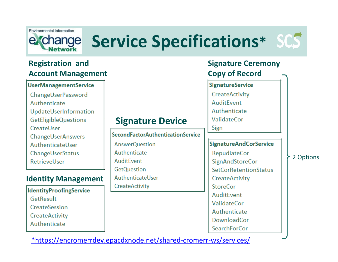

# **Service Specifications\***

### **Registration and Account Management**

#### **UserManagementService**

- ChangeUserPassword
- Authenticate
- UpdateUserInformation
- **GetEligibleQuestions**
- CreateUser
- **ChangeUserAnswers**
- AuthenticateUser
- ChangeUserStatus
- RetrievelJser

### **Identity Management**

**IdentityProofingService** GetResult CreateSession CreateActivity Authenticate

## **Signature Device**

#### **SecondFactorAuthenticationService**

**AnswerQuestion** Authenticate AuditFvent **GetQuestion** AuthenticateUser **CreateActivity** 

### **Signature Ceremony Copy of Record**

**SignatureService** CreateActivity

AuditFvent

Authenticate

ValidateCor

Sign

#### **SignatureAndCorService**

**RepudiateCor** SignAndStoreCor **SetCorRetentionStatus** CreateActivity **StoreCor** AuditFvent **ValidateCor** Authenticate DownloadCor **SearchForCor** 

#### 2 Options

[\\*https://encromerrdev.epacdxnode.net/shared](https://encromerrdev.epacdxnode.net/shared-cromerr-ws/services/)‐cromerr‐ws/services/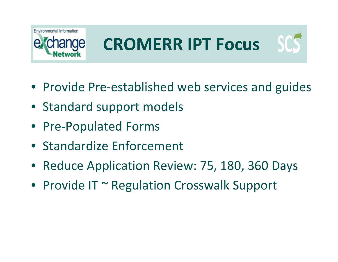

# **CROMERR IPT Focus**



- Provide Pre‐established web services and guides
- Standard support models
- Pre-Populated Forms
- Standardize Enforcement
- Reduce Application Review: 75, 180, 360 Days
- Provide IT ~ Regulation Crosswalk Support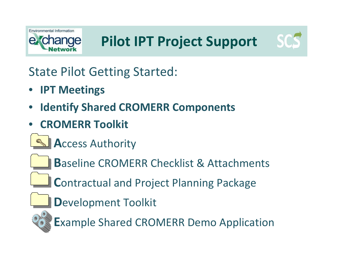

State Pilot Getting Started:

- **IPT Meetings**
- **Identify Shared CROMERR Components**
- **CROMERR Toolkit**
	- **Access Authority**



**B**aseline CROMERR Checklist & Attachments

**Contractual and Project Planning Package** 

Development Toolkit



**Example Shared CROMERR Demo Application**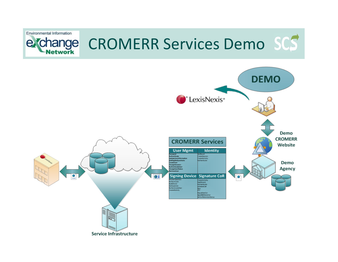